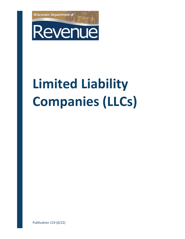



# **Limited Liability Companies (LLCs)**

Publication 119 (6/22)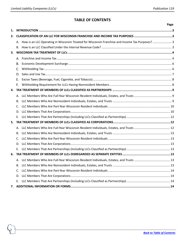# **TABLE OF CONTENTS**

<span id="page-1-0"></span>

|    |                                                                                                     | Page |
|----|-----------------------------------------------------------------------------------------------------|------|
| 1. |                                                                                                     |      |
| 2. |                                                                                                     |      |
|    | A. How is an LLC Operating in Wisconsin Treated for Wisconsin Franchise and Income Tax Purposes?  3 |      |
|    | В.                                                                                                  |      |
| 3. |                                                                                                     |      |
|    | А.                                                                                                  |      |
|    | В.                                                                                                  |      |
|    | C.                                                                                                  |      |
|    | D.                                                                                                  |      |
|    | Е.                                                                                                  |      |
|    | F.                                                                                                  |      |
| 4. |                                                                                                     |      |
|    | А.                                                                                                  |      |
|    | В.                                                                                                  |      |
|    | C.                                                                                                  |      |
|    | D.                                                                                                  |      |
|    | Е.                                                                                                  |      |
| 5. |                                                                                                     |      |
|    | А.                                                                                                  |      |
|    | В.                                                                                                  |      |
|    | C.                                                                                                  |      |
|    | D.                                                                                                  |      |
|    |                                                                                                     |      |
| 6. |                                                                                                     |      |
|    |                                                                                                     |      |
|    | В.                                                                                                  |      |
|    | C.                                                                                                  |      |
|    | D.                                                                                                  |      |
|    | Ε.                                                                                                  |      |
| 7. |                                                                                                     |      |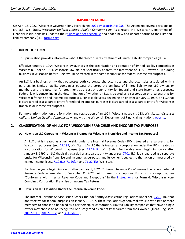#### **IMPORTANT NOTICE**

On April 15, 2022, Wisconsin Governor Tony Evers signe[d 2021 Wisconsin Act 258.](https://docs.legis.wisconsin.gov/2021/related/acts/258.pdf) The Act makes several revisions to ch. 183, Wis. Stats., *Wisconsin Uniform Limited Liability Company Law*. As a result, the Wisconsin Department of Financial Institutions has updated their [filings and fees schedule](https://wdfi.org/corporations/fees/ltd.htm) and added new and updated forms to their limited liability company (LLC) [forms page.](https://wdfi.org/corporations/forms/corp183forms.htm)

# <span id="page-2-0"></span>**1. INTRODUCTION**

This publication provides information about the Wisconsin tax treatment of limited liability companies (LLCs).

Effective January 1, 1994, Wisconsin law authorizes the organization and operation of limited liability companies in Wisconsin. Prior to 1994, Wisconsin law did not specifically address the treatment of LLCs. However, LLCs doing business in Wisconsin before 1994 would be treated in the same manner as for federal income tax purposes.

An LLC is a business entity that possesses both corporate characteristics and characteristics associated with a partnership. Limited liability companies possess the corporate attribute of limited liability for LLC owners or members and the potential for treatment as a pass-through entity for federal and state income tax purposes. Federal law is controlling in the determination of whether an LLC is treated as a corporation or a partnership for Wisconsin franchise and income tax purposes. For taxable years beginning on or after January 1, 1997, an LLC that is disregarded as a separate entity for federal income tax purposes is disregarded as a separate entity for Wisconsin franchise or income tax purposes.

For more information on the formation and registration of an LLC in Wisconsin, see ch. 183, Wis. Stats., *Wisconsin Uniform Limited Liability Company Law*, and visit the Wisconsin Department of Financial Institutions [website.](https://www.wdfi.org/)

# <span id="page-2-2"></span><span id="page-2-1"></span>**2. CLASSIFICATION OF AN LLC FOR WISCONSIN FRANCHISE AND INCOME TAX PURPOSES**

#### **A. How is an LLC Operating in Wisconsin Treated for Wisconsin Franchise and Income Tax Purposes?**

An LLC that is treated as a partnership under the Internal Revenue Code (IRC) is treated as a partnership for Wisconsin purposes. [sec. [71.195,](https://docs.legis.wisconsin.gov/statutes/statutes/71/iii/195) Wis. Stats.] An LLC that is treated as a corporation under the IRC is treated as a corporation for Wisconsin purposes. [sec. [71.22\(1k\),](https://docs.legis.wisconsin.gov/statutes/statutes/71/iv/22/1k) Wis. Stats.] For taxable years beginning on or after January 1, 1997, an LLC that is disregarded as a separate entity under sec. [7701,](https://www.law.cornell.edu/uscode/text/26/7701) IRC, is disregarded as a separate entity for Wisconsin franchise and income tax purposes, and its owner is subject to the tax on or measured by its net income. [secs. [71.02\(1\),](https://docs.legis.wisconsin.gov/statutes/statutes/71/i/02/1) [71.20\(1\),](https://docs.legis.wisconsin.gov/statutes/statutes/71/iii/20/1) an[d 71.22\(1k\),](https://docs.legis.wisconsin.gov/statutes/statutes/71/iv/22/1k) Wis. Stats.]

For taxable years beginning on or after January 1, 2021, "Internal Revenue Code" means the federal Internal Revenue Code as amended to December 31, 2020, with numerous exceptions. For a list of exceptions, see "Conformity with Internal Revenue Code and Exceptions" in the *instructions* for Form 4, Wisconsin Non-Combined Corporation Franchise or Income Tax Return.

#### <span id="page-2-3"></span>**B. How Is an LLC Classified Under the Internal Revenue Code?**

The Internal Revenue Service issued "check-the-box" entity classification regulations under sec. [7701,](https://www.law.cornell.edu/uscode/text/26/7701) IRC, that are effective for federal purposes on January 1, 1997. These regulations generally allow LLCs with two or more members to choose to be taxed as a partnership or corporation. Limited liability companies that have a single owner may choose to be recognized or disregarded as an entity separate from their owner. [Treas. Reg. secs. [301.7701-1,](https://www.law.cornell.edu/cfr/text/26/301.7701-1) [301.7701-2,](https://www.law.cornell.edu/cfr/text/26/301.7701-2) and [301.7701-3.](https://www.law.cornell.edu/cfr/text/26/301.7701-3)]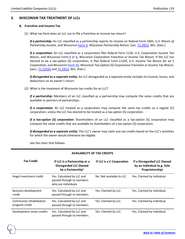# <span id="page-3-0"></span>**3. WISCONSIN TAX TREATMENT OF LLCs**

#### <span id="page-3-1"></span>**Franchise and Income Tax**

(1) What tax form does an LLC use to file a franchise or income tax return?

*If a partnership:* An LLC classified as a partnership reports its income on federal Form 1065, U*.S. Return of Partnership Income*, and Wisconsin [Form](https://www.revenue.wi.gov/Pages/HTML/formpub.aspx) 3, *Wisconsin Partnership Return*. [sec[. 71.20\(1\),](https://docs.legis.wisconsin.gov/statutes/statutes/71/iii/20/1) Wis. Stats.]

*If a corporation:* An LLC classified as a corporation files federal Form 1120, *U.S. Corporation Income Tax Return*, and Wisconsin Form [4](https://www.revenue.wi.gov/Pages/HTML/formpub.aspx) or [6,](https://www.revenue.wi.gov/Pages/HTML/formpub.aspx) *Wisconsin Corporation Franchise or Income Tax Return*. If the LLC has elected to be a tax-option (S) corporation, it files federal Form 1120S, *U.S. Income Tax Return for an S Corporation*, and Wisconsin [Form](https://www.revenue.wi.gov/Pages/HTML/formpub.aspx) 5S, *Wisconsin Tax-Option (S) Corporation Franchise or Income Tax Return*. [secs. [71.22\(1k\)](https://docs.legis.wisconsin.gov/statutes/statutes/71/iv/22/1k) an[d 71.24\(1\),](https://docs.legis.wisconsin.gov/statutes/statutes/71/iv/24/1) Wis. Stats.]

*If disregarded as a separate entity:* An LLC disregarded as a separate entity includes its income, losses, and deductions on its owner's return.

(2) What is the treatment of Wisconsin tax credits for an LLC?

*If a partnership:* Members of an LLC classified as a partnership may compute the same credits that are available to partners of partnerships.

*If a corporation:* An LLC treated as a corporation may compute the same tax credits as a regular (C) corporation, unless the LLC has elected to be treated as a tax-option (S) corporation.

*If a tax-option (S) corporation:* Shareholders of an LLC classified as a tax-option (S) corporation may compute the same credits that are available to shareholders of a tax-option (S) corporation.

*If disregarded as a separate entity:* The LLC's owner may claim any tax credits based on the LLC's activities for which the owner would otherwise be eligible.

See the chart that follows.

4

| <b>Tax Credit</b>                          | If LLC is a Partnership or a<br><b>Disregarded LLC Owned</b><br>by a Partnership <sup>1</sup> | If LLC is a C Corporation | If a Disregarded LLC Owned<br>by an Individual (e.g. Sole<br>Proprietorship) |
|--------------------------------------------|-----------------------------------------------------------------------------------------------|---------------------------|------------------------------------------------------------------------------|
| Angel investment credit                    | Yes. Calculated by LLC and<br>passed through to members<br>who are individuals.               | No. Not available to LLC. | Yes. Claimed by individual.                                                  |
| <b>Business development</b><br>credit      | Yes. Calculated by LLC and<br>passed through to members.                                      | Yes. Claimed by LLC.      | Yes. Claimed by individual.                                                  |
| Community rehabilitation<br>program credit | Yes. Calculated by LLC and<br>passed through to members.                                      | Yes. Claimed by LLC.      | Yes. Claimed by individual.                                                  |
| Development zones credits                  | Yes. Calculated by LLC and<br>passed through to members.                                      | Yes. Claimed by LLC.      | Yes. Claimed by individual.                                                  |

# **AVAILABILITY OF TAX CREDITS**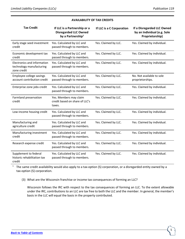| <b>Tax Credit</b>                                                      | If LLC is a Partnership or a<br><b>Disregarded LLC Owned</b><br>by a Partnership <sup>1</sup> | If LLC is a C Corporation | If a Disregarded LLC Owned<br>by an Individual (e.g. Sole<br>Proprietorship) |
|------------------------------------------------------------------------|-----------------------------------------------------------------------------------------------|---------------------------|------------------------------------------------------------------------------|
| Early stage seed investment<br>credit                                  | Yes. Calculated by LLC and<br>passed through to members.                                      | Yes. Claimed by LLC.      | Yes. Claimed by individual.                                                  |
| Economic development tax<br>credit                                     | Yes. Calculated by LLC and<br>passed through to members.                                      | Yes. Claimed by LLC.      | Yes. Claimed by individual.                                                  |
| Electronics and information<br>technology manufacturing<br>zone credit | Yes. Calculated by LLC and<br>passed through to members.                                      | Yes. Claimed by LLC.      | Yes. Claimed by individual.                                                  |
| Employee college savings<br>account contribution credit                | Yes. Calculated by LLC and<br>passed through to members.                                      | Yes. Claimed by LLC.      | No. Not available to sole<br>proprietorships.                                |
| Enterprise zone jobs credit                                            | Yes. Calculated by LLC and<br>passed through to members.                                      | Yes. Claimed by LLC.      | Yes. Claimed by individual.                                                  |
| Farmland preservation<br>credit                                        | Yes. Members may claim<br>credit based on share of LLC's<br>taxes.                            | Yes. Claimed by LLC.      | Yes. Claimed by individual.                                                  |
| Low-income housing credit                                              | Yes. Calculated by LLC and<br>passed through to members.                                      | Yes. Claimed by LLC.      | Yes. Claimed by individual.                                                  |
| Manufacturing and<br>agriculture credit                                | Yes. Calculated by LLC and<br>passed through to members.                                      | Yes. Claimed by LLC.      | Yes. Claimed by individual.                                                  |
| Manufacturing investment<br>credit                                     | Yes. Calculated by LLC and<br>passed through to members.                                      | Yes. Claimed by LLC.      | Yes. Claimed by individual.                                                  |
| Research expense credit                                                | Yes. Calculated by LLC and<br>passed through to members.                                      | Yes. Claimed by LLC.      | Yes. Claimed by individual.                                                  |
| Supplement to federal<br>historic rehabilitation tax<br>credit         | Yes. Calculated by LLC and<br>passed through to members.                                      | Yes. Claimed by LLC.      | Yes. Claimed by individual.                                                  |

## **AVAILABILITY OF TAX CREDITS**

<sup>1</sup> The same credit availability would also apply to a tax-option (S) corporation, or a disregarded entity owned by a tax-option (S) corporation.

(3) What are the Wisconsin franchise or income tax consequences of forming an LLC?

Wisconsin follows the IRC with respect to the tax consequences of forming an LLC. To the extent allowable under the IRC, contributions to an LLC are tax free to both the LLC and the member. In general, the member's basis in the LLC will equal the basis in the property contributed.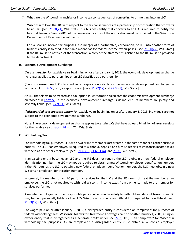(4) What are the Wisconsin franchise or income tax consequences of converting to or merging into an LLC?

Wisconsin follows the IRC with respect to the tax consequences of a partnership or corporation that converts to an LLC. [sec. [71.80\(21\),](https://docs.legis.wisconsin.gov/statutes/statutes/71/xii/80/21) Wis. Stats.] If a business entity that converts to an LLC is required to notify the Internal Revenue Service (IRS) of the conversion, a copy of the notification must be provided to the Wisconsin Department of Revenue (department).

For Wisconsin income tax purposes, the merger of a partnership, corporation, or LLC into another form of business entity is treated in the same manner as for federal income tax purposes. [sec. [71.80\(22\),](https://docs.legis.wisconsin.gov/statutes/statutes/71/xii/80/22) Wis. Stats.] If the IRS must be notified of the transaction, a copy of the statement furnished to the IRS must be provided to the department.

#### <span id="page-5-0"></span>**Economic Development Surcharge**

*If a partnership:* For taxable years beginning on or after January 1, 2013, the economic development surcharge no longer applies to partnerships or an LLC classified as a partnership.

*If a corporation:* An LLC classified as a corporation calculates the economic development surcharge on Wisconsin Form  $4$ ,  $55$ , or  $6$ , as appropriate. [secs.  $71.22(1k)$  and  $77.93(1)$ , Wis. Stats.]

An LLC that elects to be treated as a tax-option (S) corporation calculates the economic development surcharge on Wisconsin [Form](https://www.revenue.wi.gov/Pages/HTML/formpub.aspx) 5S. If the economic development surcharge is delinquent, its members are jointly and severally liable. [sec. [77.93\(1\),](https://docs.legis.wisconsin.gov/statutes/statutes/77/vii/93/1) Wis. Stats.]

*If disregarded as a separate entity:* For taxable years beginning on or after January 1, 2013, individuals are not subject to the economic development surcharge.

**Note:** The economic development surcharge applies to certain LLCs that have at least \$4 million of gross receipts for the taxable year. [\[subch. VII](https://docs.legis.wisconsin.gov/statutes/statutes/77/vii) (ch. 77), Wis. Stats.]

#### <span id="page-5-1"></span>**Withholding Tax**

6

For withholding tax purposes, LLCs with two or more members are treated in the same manner as other business entities. The LLC, if an employer, is required to withhold, deposit, and furnish reports of Wisconsin income taxes withheld as are other employers. [secs.  $71.63(3)$ ,  $71.65(1)(a)$ , and  $71.71$ , Wis. Stats.]

If an existing entity becomes an LLC and the IRS does not require the LLC to obtain a new federal employer identification number, the LLC may not be required to obtain a new Wisconsin employer identification number. If the IRS requires the LLC to obtain a new federal employer identification number, the LLC must obtain a new Wisconsin employer identification number.

In general, if a member of an LLC performs services for the LLC and the IRS does not treat the member as an employee, the LLC is not required to withhold Wisconsin income taxes from payments made to the member for services performed.

A member, employee, or other responsible person who is under a duty to withhold and deposit taxes for an LLC may be held personally liable for the LLC's Wisconsin income taxes withheld or required to be withheld. [sec. [71.83\(1\)\(b\)2,](https://docs.legis.wisconsin.gov/statutes/statutes/71/xiii/83/1/b/2) Wis. Stats.]

For wages paid on or after January 1, 2009, a disregarded entity is considered an "employer" for purposes of federal withholding taxes. Wisconsin follows this treatment. For wages paid on or after January 1, 2009, a singleowner entity that is disregarded as a separate entity under sec. [7701,](https://www.law.cornell.edu/uscode/text/26/7701) IRC, is an "employer" for Wisconsin withholding tax purposes. As an "employer," a disregarded entity must obtain a Wisconsin employer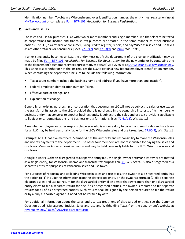identification number. To obtain a Wisconsin employer identification number, the entity must register online at [My Tax Account](https://tap.revenue.wi.gov/BTR/_/) or complete [a Form BTR-101,](https://www.revenue.wi.gov/TaxForms2017through2019/btr-101.pdf) *Application for Business Registration*.

#### <span id="page-6-0"></span>**Sales and Use Tax**

For sales and use tax purposes, LLCs with two or more members and single-member LLCs that elect to be taxed as corporations for income and franchise tax purposes are treated in the same manner as other business entities. The LLC, as a retailer or consumer, is required to register, report, and pay Wisconsin sales and use taxes as are other retailers or consumers. [secs. [77.52\(7\)](https://docs.legis.wisconsin.gov/statutes/statutes/77/iii/52/7) and [77.53\(9\)](https://docs.legis.wisconsin.gov/statutes/statutes/77/iii/53/9) an[d \(9m\),](https://docs.legis.wisconsin.gov/statutes/statutes/77/iii/53/9m) Wis. Stats.]

If an existing entity becomes an LLC, the entity must notify the department of the change. Notification may be made by filing Form [BTR-101,](https://www.revenue.wi.gov/TaxForms2017through2019/btr-101.pdf) *Application for Business Tax Registration*, for the new entity or by contacting one of the department's customer service representatives at (608) 266-2776 or at [DORSalesandUse@wisconsin.gov.](https://www.revenue.wi.gov/Pages/ContactUs/dorhelp.aspx?subject=dorsalesanduse) This is the case whether or not the IRS requires the LLC to obtain a new federal employer identification number. When contacting the department, be sure to include the following information:

- Tax account number (include the business name and address if you have more than one location),
- Federal employer identification number (FEIN),
- Effective date of change, and
- Explanation of change.

Generally, an existing partnership or corporation that becomes an LLC will not be subject to sales or use tax on the transfer of its assets to the LLC, provided there is no change in the ownership interests of its members. A business entity that converts to another business entity is subject to the sales and use tax provisions applicable to liquidations, reorganizations, and business entity formations. [sec. [77.61\(15\),](https://docs.legis.wisconsin.gov/statutes/statutes/77/iii/61/15) Wis. Stats.]

A member, employee, or other responsible person who is under a duty to collect and remit sales and use taxes for an LLC may be held personally liable for the LLC's Wisconsin sales and use taxes. [sec. [77.60\(9\),](https://docs.legis.wisconsin.gov/statutes/statutes/77/iii/60/9) Wis. Stats.]

**Example:** An LLC has five members. Member A has the authority and responsibility to make the Wisconsin sales and use tax payments to the department. The other four members are not responsible for paying the sales and use taxes. Member A is a responsible person and may be held personally liable for the LLC's Wisconsin sales and use taxes.

A single-owner LLC that is disregarded as a separate entity (i.e., the single-owner entity and its owner are treated as a single entity) for Wisconsin income and franchise tax purposes ch. [71,](https://docs.legis.wisconsin.gov/statutes/statutes/71) Wis. Stats., is also disregarded as a separate entity for purposes of Wisconsin sales and use taxes.

For purposes of reporting and collecting Wisconsin sales and use taxes, the owner of a disregarded entity has the option to (1) include the information from the disregarded entity on the owner's return, or (2) file a separate electronic sales and use tax return for the disregarded entity. If an owner that owns more than one disregarded entity elects to file a separate return for one if its disregarded entities, the owner is required to file separate returns for all of its disregarded entities. Such returns shall be signed by the person required to file the return or by a duly authorized agent but need not be verified by oath.

For additional information about the sales and use tax treatment of disregarded entities, see the Common Question titled "Disregarded Entities (Sales and Use and Withholding Taxes)" on the department's website at [revenue.wi.gov/Pages/FAQS/ise-disregent.aspx.](https://www.revenue.wi.gov/Pages/FAQS/ise-disregent.aspx)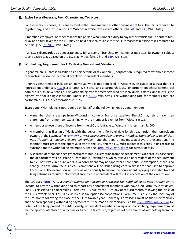#### <span id="page-7-0"></span>**Excise Taxes (Beverage, Fuel, Cigarette, and Tobacco)**

For excise tax purposes, LLCs are treated in the same manner as other business entities. The LLC is required to register, pay, and furnish reports of Wisconsin excise taxes as are others. [chs. [78,](https://docs.legis.wisconsin.gov/statutes/statutes/78) and [139,](https://docs.legis.wisconsin.gov/statutes/statutes/139) Wis. Stats.]

A member, employee, or other responsible person who is under a duty to pay motor vehicle fuel, alternate fuel, or aviation fuel taxes for the LLC may be held personally liable for the LLC's Wisconsin excise taxes required to be paid. [sec. [78.70\(6\),](https://docs.legis.wisconsin.gov/statutes/statutes/78/iv/70/6) Wis. Stats.]

If an LLC is disregarded as a separate entity for Wisconsin franchise or income tax purposes, its owner is subject to any excise taxes based on the LLC's activities. [chs. [78,](https://docs.legis.wisconsin.gov/statutes/statutes/78) an[d 139,](https://docs.legis.wisconsin.gov/statutes/statutes/139) Wis. Stats.]

#### <span id="page-7-1"></span>**Withholding Requirement for LLCs Having Nonresident Members**

In general, an LLC that is classified as a partnership or tax-option (S) corporation is required to withhold income or franchise tax on the income allocable to nonresident members.

A nonresident member includes an individual who is not domiciled in Wisconsin, an estate or a trust that is a nonresident under sec. [71.14\(](https://docs.legis.wisconsin.gov/statutes/statutes/71/ii/14)1) to (3m), Wis. Stats., and a partnership, LLC, or corporation whose commercial domicile is outside Wisconsin. The withholding rate for members who are individuals, estates, and trusts is the highest rate for a single individual under sec. [71.06,](https://docs.legis.wisconsin.gov/statutes/statutes/71/i/06) Wis. Stats. The withholding rate for members that are partnerships, LLCs, or corporations is 7.9%.

**Exceptions:** Withholding is not required on behalf of the following nonresident members:

- A member that is exempt from Wisconsin income or franchise taxation. The LLC may rely on a written statement from a member explaining why the member is exempt from Wisconsin tax.
- A member whose share of income from the LLC attributable to Wisconsin is less than \$1,000.
- A member that files an affidavit with the department. To be eligible for this exemption, the nonresident owners of the LLC must file Form [PW-2,](https://www.revenue.wi.gov/Pages/HTML/formpub.aspx) *Wisconsin Nonresident Partner, Member, Shareholder or Beneficiary Pass-Through Withholding Exemption Affidavit*, and the department must approve the exemption. The member must present the approval letter to the LLC, and the LLC must maintain this copy in its records to substantiate the withholding exemption. See the Form [PW-2 instructions](https://www.revenue.wi.gov/Pages/HTML/formpub.aspx) for further details.
- A shareholder that has been granted a continuous exemption from the department. On a case-by-case basis, the department will be issuing a "continuous" exemption, which relieves a nonresident of the requirement to file Form PW-2 in future years. As a nonresident may not apply for a "continuous" exemption, there is no change in how Form PW-2 is filed. Exemptions will be issued using criteria similar to that used to approve Form PW-2. The exemption will be reviewed annually to ensure the nonresident is paying estimated tax and filing returns as required. Noncompliance by the nonresident will result in revocation of the exemption.

The LLC uses Form [PW-1,](https://www.revenue.wi.gov/Pages/HTML/formpub.aspx) *Wisconsin Nonresident Income or Franchise Tax Withholding on Pass-Through Entity Income*, to pay the withholding and to report any nonresident members who have filed Form PW-2 affidavits. For LLCs classified as partnerships, Form PW-1 is due by the 15th day of the 3rd month following the close of the LLC's taxable year. For LLCs classified as tax-option (S) corporations, Form PW-1 is due by the 15th day of the 3rd month following the close of the LLC's taxable year. Generally, Form PW-1 must be filed electronically and the corresponding withholding payments must be made electronically. See the Form [PW-1 instructions](https://www.revenue.wi.gov/Pages/HTML/formpub.aspx) for details of the filing procedures. Additionally, nonresident members having a Wisconsin filing requirement must file the appropriate Wisconsin income or franchise tax return, regardless of the amount of withholding from the LLC.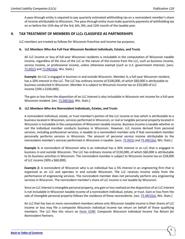A pass-through entity is required to pay quarterly estimated withholding tax on a nonresident member's share of income attributable to Wisconsin. The pass-through entity must make quarterly payments of withholding tax on or before the 15th day of the 3rd, 6th, 9th, and 12th month of the taxable year.

# <span id="page-8-0"></span>**4. TAX TREATMENT OF MEMBERS OF LLCs CLASSIFIED AS PARTNERSHIPS**

LLC members are treated as follows for Wisconsin franchise and income tax purposes.

#### <span id="page-8-1"></span>**A. LLC Members Who Are Full-Year Wisconsin Resident Individuals, Estates, and Trusts**

All LLC income or loss of full-year Wisconsin residents is includable in the computation of Wisconsin taxable income, regardless of the situs of the LLC or the nature of the income from the LLC, such as business income, service income, or professional income, unless otherwise exempt (such as U.S. government interest). [secs. [71.02\(1\)](https://docs.legis.wisconsin.gov/statutes/statutes/71/i/02/1) and [71.04\(1\)\(a\),](https://docs.legis.wisconsin.gov/statutes/statutes/71/i/04/1/a) Wis. Stats.]

**Example:** An LLC is engaged in business in and outside Wisconsin. Member A, a full-year Wisconsin resident, has a 10% interest in the LLC. The LLC has ordinary income of \$100,000, of which \$60,000 is attributable to business conducted in Wisconsin. Member A is subject to Wisconsin income tax on \$10,000 of LLC income [10% x \$100,000].

The gain or loss from the disposition of an LLC interest is also includable in Wisconsin net income for a full-year Wisconsin resident. [sec.  $71.04(1)(a)$ , Wis. Stats.]

#### <span id="page-8-2"></span>**B. LLC Members Who Are Nonresident Individuals, Estates, and Trusts**

A nonresident individual, estate, or trust member's portion of the LLC income or loss which is attributable to a business located in Wisconsin, services performed in Wisconsin, or real or tangible personal property located in Wisconsin is includable in the computation of Wisconsin taxable income. Business income is taxable whether or not the individual member conducts business in Wisconsin. However, LLC income derived from personal services, including professional services, is taxable to a nonresident member only if that nonresident member personally performs services in Wisconsin. The amount of personal service income attributable to the nonresident member's services performed in Wisconsin is taxable. [secs[. 71.02\(1\)](https://docs.legis.wisconsin.gov/statutes/statutes/71/i/02/1) an[d 71.04\(1\)\(a\),](https://docs.legis.wisconsin.gov/statutes/statutes/71/i/04/1/a) Wis. Stats.]

**Example 1:** A nonresident of Wisconsin who is an individual has a 30% interest in an LLC that is engaged in business in and outside Wisconsin. The LLC has ordinary income of \$150,000, of which \$60,000 is attributable to its business activities in Wisconsin. The nonresident member is subject to Wisconsin income tax on \$18,000 of LLC income [30% x \$60,000].

**Example 2:** A nonresident of Wisconsin who is an individual has a 5% interest in an engineering firm that is organized as an LLC and operates in and outside Wisconsin. The LLC receives income solely from the performance of engineering services. The nonresident member does not personally perform any engineering services in Wisconsin. The nonresident member's share of LLC income is not taxable by Wisconsin.

Since an LLC interest is intangible personal property, any gain or loss realized on the disposition of an LLC interest is not includable in Wisconsin taxable income of a nonresident individual, estate, or trust. Gain or loss from the sale of intangible personal property follows the residence of these nonresidents. [sec.  $71.04(1)(a)$ , Wis. Stats.]

An LLC that has two or more nonresident members whose only Wisconsin taxable income is their shares of LLC income or loss may file a composite Wisconsin individual income tax return on behalf of those qualifying members. The LLC files this return on [Form 1CNP,](https://www.revenue.wi.gov/Pages/HTML/formpub.aspx) *Composite Wisconsin Individual Income Tax Return for Nonresident Partners*.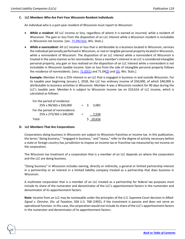#### <span id="page-9-0"></span>**C. LLC Members Who Are Part-Year Wisconsin Resident Individuals**

An individual who is a part-year resident of Wisconsin must report to Wisconsin:

- *While a resident:* All LLC income or loss, regardless of where it is earned or incurred, while a resident of Wisconsin. The gain or loss from the disposition of an LLC interest while a Wisconsin resident is includable in Wisconsin net income. [sec. [71.04\(1\)\(a\),](https://docs.legis.wisconsin.gov/statutes/statutes/71/i/04/1/a) Wis. Stats.]
- *While a nonresident:* All LLC income or loss that is attributable to a business located in Wisconsin, services the individual personally performed in Wisconsin, or real or tangible personal property located in Wisconsin, while a nonresident of Wisconsin. The disposition of an LLC interest while a nonresident of Wisconsin is treated in the same manner as for nonresidents. Since a member's interest in an LLC is considered intangible personal property, any gain or loss realized on the disposition of an LLC interest while a nonresident is not includable in Wisconsin taxable income. Gain or loss from the sale of intangible personal property follows the residence of nonresidents. [secs.  $71.02(1)$  and  $71.04(2)$  $71.04(2)$  and  $(3)$ , Wis. Stats.]

**Example:** Member A has a 25% interest in an LLC that is engaged in business in and outside Wisconsin. For its taxable year beginning January 1, 2018, the LLC has ordinary income of \$50,000, of which \$40,000 is attributable to business activities in Wisconsin. Member A was a Wisconsin resident for 90 days during the LLC's taxable year. Member A is subject to Wisconsin income tax on \$10,616 of LLC income, which is calculated as follows:

| For the period of residence:    |  |              |
|---------------------------------|--|--------------|
| 25% x 90/365 x \$50,000         |  | $=$ \$ 3,082 |
| For the period of nonresidence: |  |              |
| 25% x 275/365 x \$40,000        |  | 7.534        |
| Total                           |  | \$10,616     |

#### <span id="page-9-1"></span>**D. LLC Members That Are Corporations**

10

Corporations doing business in Wisconsin are subject to Wisconsin franchise or income tax. In this publication, the terms "doing business," "engaged in business," and "nexus," refer to the degree of activity necessary before a state or foreign country has jurisdiction to impose an income tax or franchise tax measured by net income on the corporation.

The Wisconsin tax treatment of a corporation that is a member of an LLC depends on where the corporation and the LLC are doing business.

"Doing business" in Wisconsin includes owning, directly or indirectly, a general or limited partnership interest in a partnership or an interest in a limited liability company treated as a partnership that does business in Wisconsin.

A multistate corporation that is a member of an LLC treated as a partnership for federal tax purposes must include its share of the numerator and denominator of the LLC's apportionment factors in the numerator and denominator of its apportionment factors.

**Note:** Income from an LLC may be nontaxable under the principles of the U.S. Supreme Court decision in *Allied-Signal v. Director, Div. of Taxation*, 504 U.S. 768 (1992), if the investment is passive and does not serve an operational function. In this case, the corporation would not include its share of the LLC's apportionment factors in the numerator and denominator of its apportionment factors.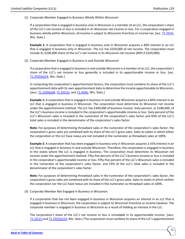(1) Corporate Member Engaged in Business Wholly Within Wisconsin

If a corporation that is engaged in business only in Wisconsin is a member of an LLC, the corporation's share of the LLC's net income or loss is included in its Wisconsin net income or loss. For a corporation engaged in business wholly within Wisconsin, all income is subject to Wisconsin franchise or income tax. [sec. 71.25(4), Wis. Stats.]

**Example 1:** A corporation that is engaged in business only in Wisconsin acquires a 40% interest in an LLC that is engaged in business only in Wisconsin. The LLC has \$250,000 of net income. The corporation must include its \$100,000 share of the LLC's net income in its Wisconsin net income [40% X \$250,000].

(2) Corporate Member Engaged in Business in and Outside Wisconsin

If a corporation that is engaged in business in and outside Wisconsin is a member of an LLC, the corporation's share of the LLC's net income or loss generally is included in its apportionable income or loss. [sec. [71.25\(5\)\(a\)14,](https://docs.legis.wisconsin.gov/statutes/statutes/71/iv/25/5/a/14) Wis. Stats.]

In computing the corporation's apportionment factors, the corporation must combine its share of the LLC's apportionment data with its own apportionment data to determine the income apportionable to Wisconsin. [secs.  $71.25(9)(e)8$ ,  $71.25(15)$ , and  $71.45(6)$ , Wis. Stats.]

**Example 1:** A corporation that is engaged in business in and outside Wisconsin acquires a 60% interest in an LLC that is engaged in business in Wisconsin. The corporation must determine its Wisconsin net income under the apportionment method. The LLC has \$300,000 of business income. Sixty percent, or \$180,000, of the LLC's business income is included in the corporation's apportionable income or loss. Sixty percent of the LLC's Wisconsin sales is included in the numerator of the corporation's sales factor and 60% of the LLC's total sales is included in the denominator of the corporation's sales factor.

**Note:** For purposes of determining throwback sales in the numerator of the corporation's sales factor, the corporation's gross sales are combined with its share of the LLC's gross sales. Sales to states in which either the corporation or the LLC have nexus are not included in the numerator as throwback sales at 100%.

**Example 2:** A corporation that has been engaged in business only in Wisconsin acquires a 55% interest in an LLC that is engaged in business in and outside Wisconsin. Therefore, the corporation is engaged in business in the states where the LLC is engaged in business. The corporation must determine its Wisconsin net income under the apportionment method. Fifty-five percent of the LLC's business income or loss is included in the corporation's apportionable income or loss. Fifty-five percent of the LLC's Wisconsin sales is included in the numerator of the corporation's sales factor, and 55% of the LLC's total sales is included in the denominator of the corporation's sales factor.

**Note:** For purposes of determining throwback sales in the numerator of the corporation's sales factor, the corporation's gross sales are combined with its share of the LLC's gross sales. Sales to states in which neither the corporation nor the LLC have nexus are included in the numerator as throwback sales at 100%.

(3) Corporate Member Not Engaged in Business in Wisconsin

If a corporation that has not been engaged in business in Wisconsin acquires an interest in an LLC that is engaged in business in Wisconsin, the corporation is subject to Wisconsin franchise or income taxation. The corporate member is engaged in business in Wisconsin as a result of holding an interest in the LLC.

The corporation's share of the LLC's net income or loss is includable in its apportionable income. [secs. [71.22\(1r\)](https://docs.legis.wisconsin.gov/statutes/statutes/71/iv/22/1r) an[d 71.25\(5\)\(a\)14,](https://docs.legis.wisconsin.gov/statutes/statutes/71/iv/25/5/a/14) Wis. Stats.] The corporation must combine its share of the LLC's apportionment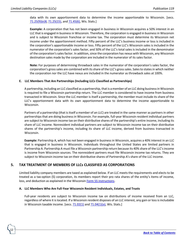data with its own apportionment data to determine the income apportionable to Wisconsin. [secs. [71.25\(9\)\(e\)8,](https://docs.legis.wisconsin.gov/statutes/statutes/71/iv/25/9/e/8) [71.25\(15\),](https://docs.legis.wisconsin.gov/statutes/statutes/71/iv/25/15) and [71.45\(6\),](https://docs.legis.wisconsin.gov/statutes/statutes/71/vii/45/6) Wis. Stats.]

**Example:** A corporation that has not been engaged in business in Wisconsin acquires a 50% interest in an LLC that is engaged in business in Wisconsin. Therefore, the corporation is engaged in business in Wisconsin and is subject to Wisconsin franchise or income tax. The corporation must determine its Wisconsin net income under the apportionment method. Fifty percent of the LLC's business income or loss is included in the corporation's apportionable income or loss. Fifty percent of the LLC's Wisconsin sales is included in the numerator of the corporation's sales factor, and 50% of the LLC's total sales is included in the denominator of the corporation's sales factor. In addition, since the corporation has nexus with Wisconsin, any Wisconsin destination sales made by the corporation are included in the numerator of its sales factor.

**Note:** For purposes of determining throwback sales in the numerator of the corporation's sales factor, the corporation's gross sales are combined with its share of the LLC's gross sales. Sales to states in which neither the corporation nor the LLC have nexus are included in the numerator as throwback sales at 100%.

#### <span id="page-11-0"></span>**E. LLC Members That Are Partnerships (Including LLCs Classified as Partnerships)**

A partnership, including an LLC classified as a partnership, that is a member of an LLC doing business in Wisconsin is required to file a Wisconsin partnership return. The LLC member is considered to have income from business transacted in Wisconsin. Since the LLC member is itself a partnership, the member must include its share of the LLC's apportionment data with its own apportionment data to determine the income apportionable to Wisconsin.

Partners of a partnership (that is itself a member of an LLC) are treated in the same manner as partners in other partnerships that are doing business in Wisconsin. For example, full-year Wisconsin resident individual partners are subject to Wisconsin income tax on their distributive shares of the partnership's entire income, including its share of LLC income. Nonresident individual partners are subject to Wisconsin income tax on their distributive shares of the partnership's income, including its share of LLC income, derived from business transacted in Wisconsin.

**Example:** Partnership A, which has not been engaged in business in Wisconsin, acquires a 40% interest in an LLC that is engaged in business in Wisconsin. Individuals throughout the United States are limited partners in Partnership A. Partnership A must file a Wisconsin partnership return because its 40% share of the LLC's income is income from Wisconsin sources. The nonresident partners must file Wisconsin income tax returns. They are subject to Wisconsin income tax on their distributive shares of Partnership A's share of the LLC income.

# <span id="page-11-1"></span>**5. TAX TREATMENT OF MEMBERS OF LLCs CLASSIFIED AS CORPORATIONS**

Limited liability company members are taxed as explained below. If an LLC meets the requirements and elects to be treated as a tax-option (S) corporation, its members report their pro rata shares of the entity's items of income, loss, and deduction as explained in the Wisconsin Form [5S instructions.](https://www.revenue.wi.gov/Pages/HTML/formpub.aspx)

#### <span id="page-11-2"></span>**A. LLC Members Who Are Full-Year Wisconsin Resident Individuals, Estates, and Trusts**

Full-year residents are subject to Wisconsin income tax on distributions of income received from an LLC, regardless of where it is located. If a Wisconsin resident disposes of an LLC interest, any gain or loss is includable in Wisconsin taxable income. [secs.  $71.02(1)$  and  $71.04(1)(a)$ , Wis. Stats.]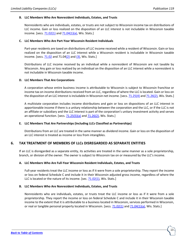#### <span id="page-12-0"></span>**B. LLC Members Who Are Nonresident Individuals, Estates, and Trusts**

Nonresidents who are individuals, estates, or trusts are not subject to Wisconsin income tax on distributions of LLC income. Gain or loss realized on the disposition of an LLC interest is not includable in Wisconsin taxable income. [secs[. 71.02\(1\)](https://docs.legis.wisconsin.gov/statutes/statutes/71/i/02/1) and [71.04\(1\)\(a\),](https://docs.legis.wisconsin.gov/statutes/statutes/71/i/04/1/a) Wis. Stats.]

#### <span id="page-12-1"></span>**C. LLC Members Who Are Part-Year Wisconsin Resident Individuals**

Part-year residents are taxed on distributions of LLC income received while a resident of Wisconsin. Gain or loss realized on the disposition of an LLC interest while a Wisconsin resident is includable in Wisconsin taxable income. [secs.  $71.02$  and  $71.04(2)$  $71.04(2)$  and  $(3)$ , Wis. Stats.]

Distributions of LLC income received by an individual while a nonresident of Wisconsin are not taxable by Wisconsin. Any gain or loss realized by an individual on the disposition of an LLC interest while a nonresident is not includable in Wisconsin taxable income.

#### <span id="page-12-2"></span>**D. LLC Members That Are Corporations**

A corporation whose entire business income is attributable to Wisconsin is subject to Wisconsin franchise or income tax on income distributions received from an LLC, regardless of where the LLC is located. Gain or loss on the disposition of an LLC interest is includable in Wisconsin net income. [secs[. 71.25\(4\)](https://docs.legis.wisconsin.gov/statutes/statutes/71/iv/25/4) an[d 71.26\(2\),](https://docs.legis.wisconsin.gov/statutes/statutes/71/iv/26/2) Wis. Stats.]

A multistate corporation includes income distributions and gain or loss on dispositions of an LLC interest in apportionable income if there is a unitary relationship between the corporation and the LLC, or if the LLC is not an affiliate or subsidiary and the LLC interest is part of the corporation's unitary investment activity and serves an operational function. [secs.  $71.25(5)(a)$  and  $71.26(2)$ , Wis. Stats.]

#### <span id="page-12-3"></span>**E. LLC Members That Are Partnerships (Including LLCs Classified as Partnerships)**

Distributions from an LLC are treated in the same manner as dividend income. Gain or loss on the disposition of an LLC interest is treated as income or loss from intangibles.

# <span id="page-12-4"></span>**6. TAX TREATMENT OF MEMBERS OF LLCs DISREGARDED AS SEPARATE ENTITIES**

If an LLC is disregarded as a separate entity, its activities are treated in the same manner as a sole proprietorship, branch, or division of the owner. The owner is subject to Wisconsin tax on or measured by the LLC's income.

#### <span id="page-12-5"></span>**A. LLC Members Who Are Full-Year Wisconsin Resident Individuals, Estates, and Trusts**

Full-year residents treat the LLC income or loss as if it were from a sole proprietorship. They report the income or loss on federal Schedule C and include it in their Wisconsin adjusted gross income, regardless of where the LLC is located or the nature of its income. [sec.  $71.02(1)$ , Wis. Stats.]

#### <span id="page-12-6"></span>**B. LLC Members Who Are Nonresident Individuals, Estates, and Trusts**

Nonresidents who are individuals, estates, or trusts treat the LLC income or loss as if it were from a sole proprietorship. They report the income or loss on federal Schedule C and include it in their Wisconsin taxable income to the extent that it is attributable to a business located in Wisconsin, services performed in Wisconsin, or real or tangible personal property located in Wisconsin. [secs[. 71.02\(1\)](https://docs.legis.wisconsin.gov/statutes/statutes/71/i/02/1) an[d 71.04\(1\)\(a\),](https://docs.legis.wisconsin.gov/statutes/statutes/71/i/04/1/a) Wis. Stats.]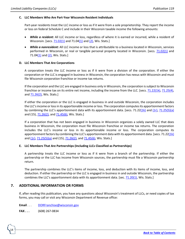#### <span id="page-13-0"></span>**C. LLC Members Who Are Part-Year Wisconsin Resident Individuals**

Part-year residents treat the LLC income or loss as if it were from a sole proprietorship. They report the income or loss on federal Schedule C and include in their Wisconsin taxable income the following amounts:

- *While a resident:* All LLC income or loss, regardless of where it is earned or incurred, while a resident of Wisconsin. [secs[. 71.02\(1\)](https://docs.legis.wisconsin.gov/statutes/statutes/71/i/02/1) and 71.0[4\(1\)](https://docs.legis.wisconsin.gov/statutes/statutes/71/i/04/1) an[d \(2\),](https://docs.legis.wisconsin.gov/statutes/statutes/71/i/04/2) Wis. Stats.]
- *While a nonresident:* All LLC income or loss that is attributable to a business located in Wisconsin, services performed in Wisconsin, or real or tangible personal property located in Wisconsin. [secs. [71.02\(1\)](https://docs.legis.wisconsin.gov/statutes/statutes/71/i/02/1) and 71.04 $(1)$  and  $(2)$ , Wis. Stats.]

### <span id="page-13-1"></span>**D. LLC Members That Are Corporations**

A corporation treats the LLC income or loss as if it were from a division of the corporation. If either the corporation or the LLC is engaged in business in Wisconsin, the corporation has nexus with Wisconsin and must file Wisconsin corporation franchise or income tax returns.

If the corporation and the LLC are engaged in business only in Wisconsin, the corporation is subject to Wisconsin franchise or income tax on its entire net income, including the income from the LLC. [secs. [71.22\(1k\),](https://docs.legis.wisconsin.gov/statutes/statutes/71/iv/22/1k) [71.25\(4\),](https://docs.legis.wisconsin.gov/statutes/statutes/71/iv/25/4)  an[d 71.26\(2\),](https://docs.legis.wisconsin.gov/statutes/statutes/71/iv/26/2) Wis. Stats.]

If either the corporation or the LLC is engaged in business in and outside Wisconsin, the corporation includes the LLC's income or loss in its apportionable income or loss. The corporation computes its apportionment factors by combining the LLC's apportionment data with its apportionment data. [secs. 71.2[2\(1k\)](https://docs.legis.wisconsin.gov/statutes/statutes/71/iv/22/1k) and [\(1r\),](https://docs.legis.wisconsin.gov/statutes/statutes/71/iv/22/1r) [71.25\(5\)\(a\)](https://docs.legis.wisconsin.gov/statutes/statutes/71/iv/25/5/a) and (15)[, 71.26\(2\),](https://docs.legis.wisconsin.gov/statutes/statutes/71/iv/26/2) an[d 71.45\(6\),](https://docs.legis.wisconsin.gov/statutes/statutes/71/vii/45/6) Wis. Stats.]

If a corporation that has not been engaged in business in Wisconsin organizes a solely owned LLC that does business in Wisconsin, the corporation must file Wisconsin franchise or income tax returns. The corporation includes the LLC's income or loss in its apportionable income or loss. The corporation computes its apportionment factors by combining the LLC's apportionment data with its apportionment data. [secs. 71.2[2\(1k\)](https://docs.legis.wisconsin.gov/statutes/statutes/71/iv/22/1k) and  $(1r)$ , [71.25\(5\)\(a\)](https://docs.legis.wisconsin.gov/statutes/statutes/71/iv/25/5/a) and (15), [71.26\(2\),](https://docs.legis.wisconsin.gov/statutes/statutes/71/iv/26/2) and [71.45\(6\),](https://docs.legis.wisconsin.gov/statutes/statutes/71/vii/45/6) Wis. Stats.]

#### <span id="page-13-2"></span>**E. LLC Members That Are Partnerships (Including LLCs Classified as Partnerships)**

A partnership treats the LLC income or loss as if it were from a branch of the partnership. If either the partnership or the LLC has income from Wisconsin sources, the partnership must file a Wisconsin partnership return.

The partnership combines the LLC's items of income, loss, and deduction with its items of income, loss, and deduction. If either the partnership or the LLC is engaged in business in and outside Wisconsin, the partnership combines the LLC's apportionment data with its apportionment data. [sec. [71.20\(1\),](https://docs.legis.wisconsin.gov/statutes/statutes/71/iii/20/1) Wis. Stats.]

# <span id="page-13-3"></span>**7. ADDITIONAL INFORMATION OR FORMS**

If, after reading this publication, you have any questions about Wisconsin's treatment of LLCs, or need copies of tax forms, you may call or visit any Wisconsin Department of Revenue office:

**Email** . . . [DORFranchise@wisconsin.gov](https://www.revenue.wi.gov/Pages/ContactUs/dorhelp.aspx?subject=dorfranchise)

**FAX . . .** (608) 267-0834

14